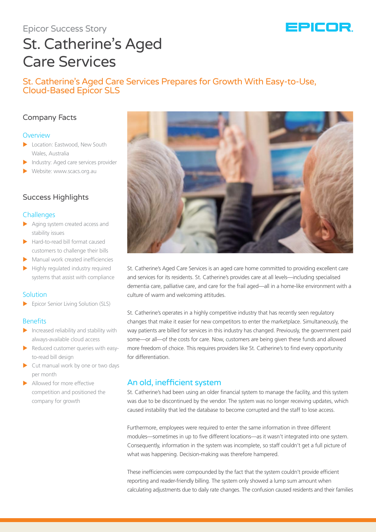# Epicor Success Story



# St. Catherine's Aged Care Services

## St. Catherine's Aged Care Services Prepares for Growth With Easy-to-Use, Cloud-Based Epicor SLS

## Company Facts

#### **Overview**

- **X Location: Eastwood, New South** Wales, Australia
- $\blacktriangleright$  Industry: Aged care services provider
- Website: www.scacs.org.au

## Success Highlights

## **Challenges**

- $\blacktriangleright$  Aging system created access and stability issues
- $\blacktriangleright$  Hard-to-read bill format caused customers to challenge their bills
- $\blacktriangleright$  Manual work created inefficiencies
- $\blacktriangleright$  Highly regulated industry required systems that assist with compliance

## **Solution**

Epicor Senior Living Solution (SLS)

## Benefits

- $\blacktriangleright$  Increased reliability and stability with always-available cloud access
- $\blacktriangleright$  Reduced customer queries with easyto-read bill design
- $\blacktriangleright$  Cut manual work by one or two days per month
- Allowed for more effective competition and positioned the company for growth



St. Catherine's Aged Care Services is an aged care home committed to providing excellent care and services for its residents. St. Catherine's provides care at all levels—including specialised dementia care, palliative care, and care for the frail aged—all in a home-like environment with a culture of warm and welcoming attitudes.

St. Catherine's operates in a highly competitive industry that has recently seen regulatory changes that make it easier for new competitors to enter the marketplace. Simultaneously, the way patients are billed for services in this industry has changed. Previously, the government paid some—or all—of the costs for care. Now, customers are being given these funds and allowed more freedom of choice. This requires providers like St. Catherine's to find every opportunity for differentiation.

## An old, inefficient system

St. Catherine's had been using an older financial system to manage the facility, and this system was due to be discontinued by the vendor. The system was no longer receiving updates, which caused instability that led the database to become corrupted and the staff to lose access.

Furthermore, employees were required to enter the same information in three different modules—sometimes in up to five different locations—as it wasn't integrated into one system. Consequently, information in the system was incomplete, so staff couldn't get a full picture of what was happening. Decision-making was therefore hampered.

These inefficiencies were compounded by the fact that the system couldn't provide efficient reporting and reader-friendly billing. The system only showed a lump sum amount when calculating adjustments due to daily rate changes. The confusion caused residents and their families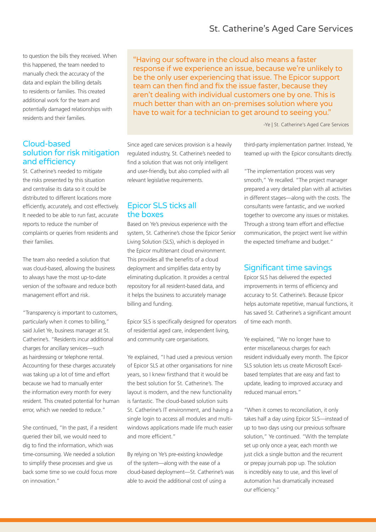# St. Catherine's Aged Care Services

to question the bills they received. When this happened, the team needed to manually check the accuracy of the data and explain the billing details to residents or families. This created additional work for the team and potentially damaged relationships with residents and their families.

## Cloud-based solution for risk mitigation and efficiency

St. Catherine's needed to mitigate the risks presented by this situation and centralise its data so it could be distributed to different locations more efficiently, accurately, and cost effectively. It needed to be able to run fast, accurate reports to reduce the number of complaints or queries from residents and their families.

The team also needed a solution that was cloud-based, allowing the business to always have the most up-to-date version of the software and reduce both management effort and risk.

"Transparency is important to customers, particularly when it comes to billing," said Juliet Ye, business manager at St. Catherine's. "Residents incur additional charges for ancillary services—such as hairdressing or telephone rental. Accounting for these charges accurately was taking up a lot of time and effort because we had to manually enter the information every month for every resident. This created potential for human error, which we needed to reduce."

She continued, "In the past, if a resident queried their bill, we would need to dig to find the information, which was time-consuming. We needed a solution to simplify these processes and give us back some time so we could focus more on innovation."

"Having our software in the cloud also means a faster response if we experience an issue, because we're unlikely to be the only user experiencing that issue. The Epicor support team can then find and fix the issue faster, because they aren't dealing with individual customers one by one. This is much better than with an on-premises solution where you have to wait for a technician to get around to seeing you."

-Ye | St. Catherine's Aged Care Services

Since aged care services provision is a heavily regulated industry, St. Catherine's needed to find a solution that was not only intelligent and user-friendly, but also complied with all relevant legislative requirements.

## Epicor SLS ticks all the boxes

Based on Ye's previous experience with the system, St. Catherine's chose the Epicor Senior Living Solution (SLS), which is deployed in the Epicor multitenant cloud environment. This provides all the benefits of a cloud deployment and simplifies data entry by eliminating duplication. It provides a central repository for all resident-based data, and it helps the business to accurately manage billing and funding.

Epicor SLS is specifically designed for operators of residential aged care, independent living, and community care organisations.

Ye explained, "I had used a previous version of Epicor SLS at other organisations for nine years, so I knew firsthand that it would be the best solution for St. Catherine's. The layout is modern, and the new functionality is fantastic. The cloud-based solution suits St. Catherine's IT environment, and having a single login to access all modules and multiwindows applications made life much easier and more efficient."

By relying on Ye's pre-existing knowledge of the system—along with the ease of a cloud-based deployment—St. Catherine's was able to avoid the additional cost of using a

third-party implementation partner. Instead, Ye teamed up with the Epicor consultants directly.

"The implementation process was very smooth," Ye recalled. "The project manager prepared a very detailed plan with all activities in different stages—along with the costs. The consultants were fantastic, and we worked together to overcome any issues or mistakes. Through a strong team effort and effective communication, the project went live within the expected timeframe and budget."

## Significant time savings

Epicor SLS has delivered the expected improvements in terms of efficiency and accuracy to St. Catherine's. Because Epicor helps automate repetitive, manual functions, it has saved St. Catherine's a significant amount of time each month.

Ye explained, "We no longer have to enter miscellaneous charges for each resident individually every month. The Epicor SLS solution lets us create Microsoft Excelbased templates that are easy and fast to update, leading to improved accuracy and reduced manual errors."

"When it comes to reconciliation, it only takes half a day using Epicor SLS—instead of up to two days using our previous software solution," Ye continued. "With the template set up only once a year, each month we just click a single button and the recurrent or prepay journals pop up. The solution is incredibly easy to use, and this level of automation has dramatically increased our efficiency."